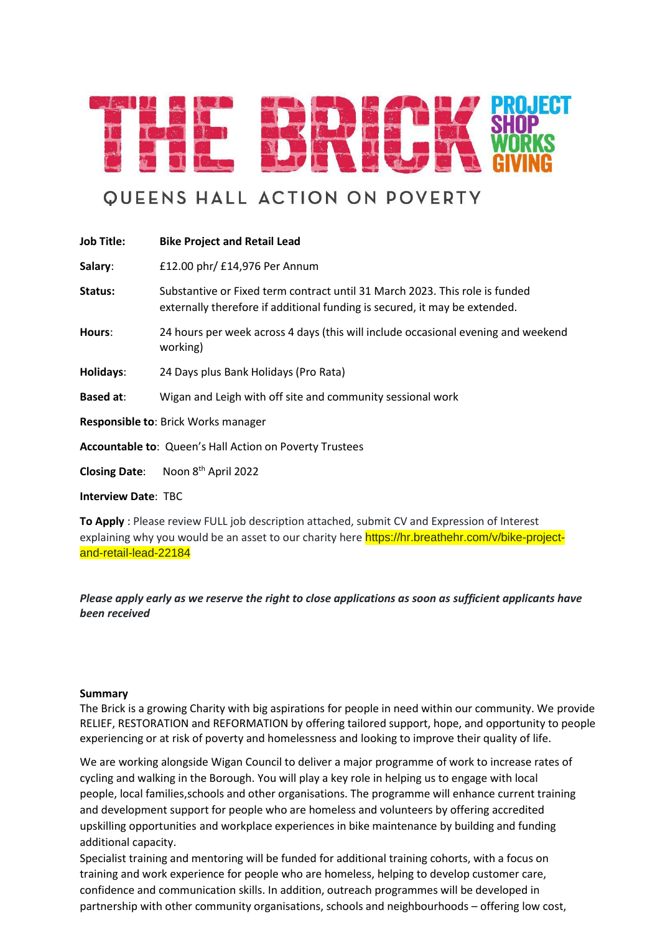

# **QUEENS HALL ACTION ON POVERTY**

| <b>Job Title:</b>                   | <b>Bike Project and Retail Lead</b>                                                                                                                       |  |  |  |
|-------------------------------------|-----------------------------------------------------------------------------------------------------------------------------------------------------------|--|--|--|
| Salary:                             | £12.00 phr/ £14,976 Per Annum                                                                                                                             |  |  |  |
| Status:                             | Substantive or Fixed term contract until 31 March 2023. This role is funded<br>externally therefore if additional funding is secured, it may be extended. |  |  |  |
| Hours:                              | 24 hours per week across 4 days (this will include occasional evening and weekend<br>working)                                                             |  |  |  |
| Holidays:                           | 24 Days plus Bank Holidays (Pro Rata)                                                                                                                     |  |  |  |
| <b>Based at:</b>                    | Wigan and Leigh with off site and community sessional work                                                                                                |  |  |  |
| Responsible to: Brick Works manager |                                                                                                                                                           |  |  |  |
|                                     | Accountable to: Queen's Hall Action on Poverty Trustees                                                                                                   |  |  |  |
| <b>Closing Date:</b>                | Noon 8 <sup>th</sup> April 2022                                                                                                                           |  |  |  |
|                                     |                                                                                                                                                           |  |  |  |

**Interview Date**: TBC

**To Apply** : Please review FULL job description attached, submit CV and Expression of Interest explaining why you would be an asset to our charity here https://hr.breathehr.com/v/bike-projectand-retail-lead-22184

*Please apply early as we reserve the right to close applications as soon as sufficient applicants have been received*

### **Summary**

The Brick is a growing Charity with big aspirations for people in need within our community. We provide RELIEF, RESTORATION and REFORMATION by offering tailored support, hope, and opportunity to people experiencing or at risk of poverty and homelessness and looking to improve their quality of life.

We are working alongside Wigan Council to deliver a major programme of work to increase rates of cycling and walking in the Borough. You will play a key role in helping us to engage with local people, local families,schools and other organisations. The programme will enhance current training and development support for people who are homeless and volunteers by offering accredited upskilling opportunities and workplace experiences in bike maintenance by building and funding additional capacity.

Specialist training and mentoring will be funded for additional training cohorts, with a focus on training and work experience for people who are homeless, helping to develop customer care, confidence and communication skills. In addition, outreach programmes will be developed in partnership with other community organisations, schools and neighbourhoods – offering low cost,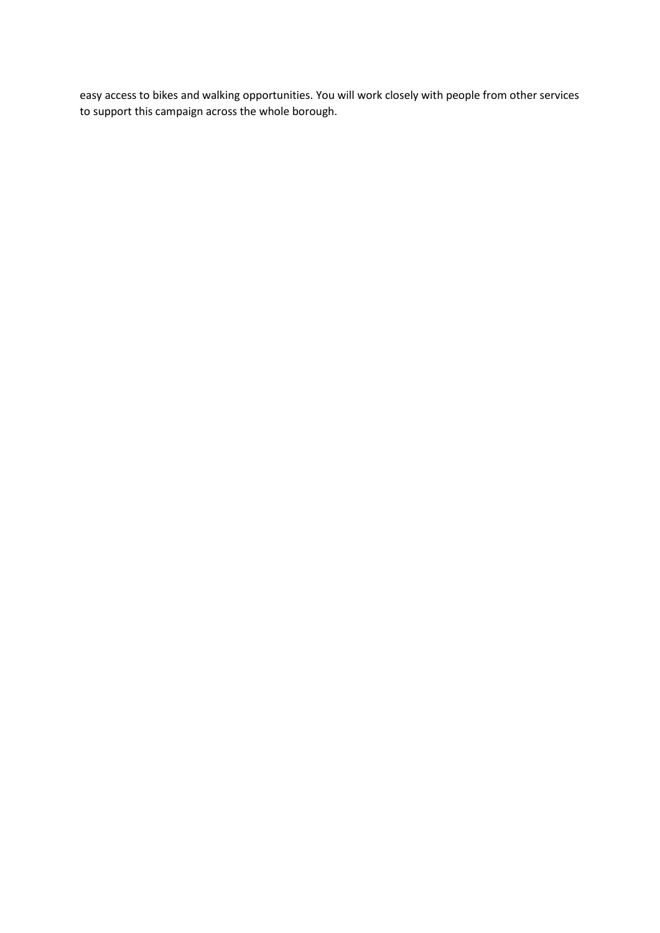easy access to bikes and walking opportunities. You will work closely with people from other services to support this campaign across the whole borough.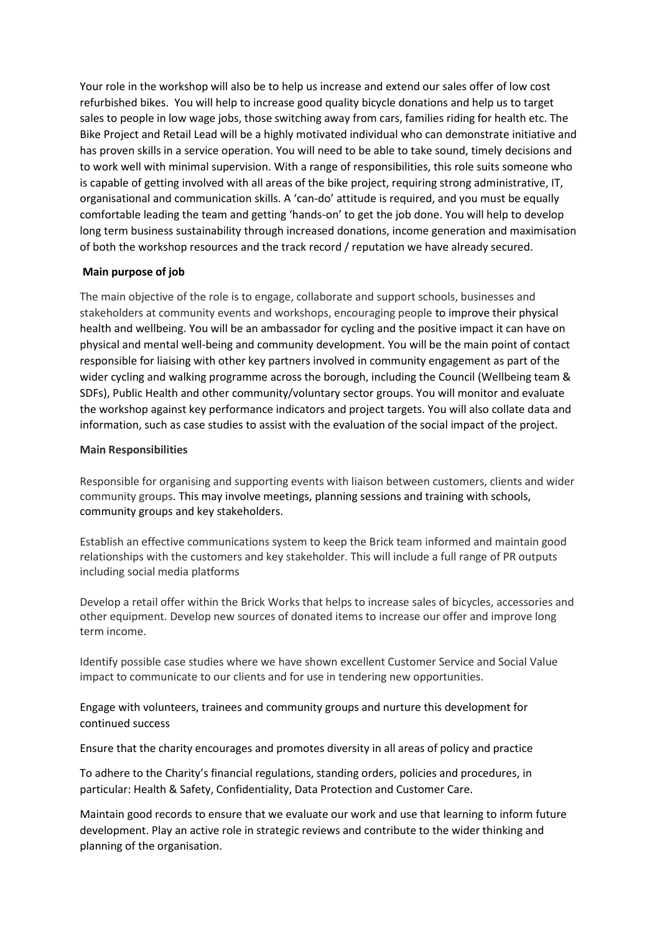Your role in the workshop will also be to help us increase and extend our sales offer of low cost refurbished bikes. You will help to increase good quality bicycle donations and help us to target sales to people in low wage jobs, those switching away from cars, families riding for health etc. The Bike Project and Retail Lead will be a highly motivated individual who can demonstrate initiative and has proven skills in a service operation. You will need to be able to take sound, timely decisions and to work well with minimal supervision. With a range of responsibilities, this role suits someone who is capable of getting involved with all areas of the bike project, requiring strong administrative, IT, organisational and communication skills. A 'can-do' attitude is required, and you must be equally comfortable leading the team and getting 'hands-on' to get the job done. You will help to develop long term business sustainability through increased donations, income generation and maximisation of both the workshop resources and the track record / reputation we have already secured.

## **Main purpose of job**

The main objective of the role is to engage, collaborate and support schools, businesses and stakeholders at community events and workshops, encouraging people to improve their physical health and wellbeing. You will be an ambassador for cycling and the positive impact it can have on physical and mental well-being and community development. You will be the main point of contact responsible for liaising with other key partners involved in community engagement as part of the wider cycling and walking programme across the borough, including the Council (Wellbeing team & SDFs), Public Health and other community/voluntary sector groups. You will monitor and evaluate the workshop against key performance indicators and project targets. You will also collate data and information, such as case studies to assist with the evaluation of the social impact of the project.

### **Main Responsibilities**

Responsible for organising and supporting events with liaison between customers, clients and wider community groups. This may involve meetings, planning sessions and training with schools, community groups and key stakeholders.

Establish an effective communications system to keep the Brick team informed and maintain good relationships with the customers and key stakeholder. This will include a full range of PR outputs including social media platforms

Develop a retail offer within the Brick Works that helps to increase sales of bicycles, accessories and other equipment. Develop new sources of donated items to increase our offer and improve long term income.

Identify possible case studies where we have shown excellent Customer Service and Social Value impact to communicate to our clients and for use in tendering new opportunities.

Engage with volunteers, trainees and community groups and nurture this development for continued success

Ensure that the charity encourages and promotes diversity in all areas of policy and practice

To adhere to the Charity's financial regulations, standing orders, policies and procedures, in particular: Health & Safety, Confidentiality, Data Protection and Customer Care.

Maintain good records to ensure that we evaluate our work and use that learning to inform future development. Play an active role in strategic reviews and contribute to the wider thinking and planning of the organisation.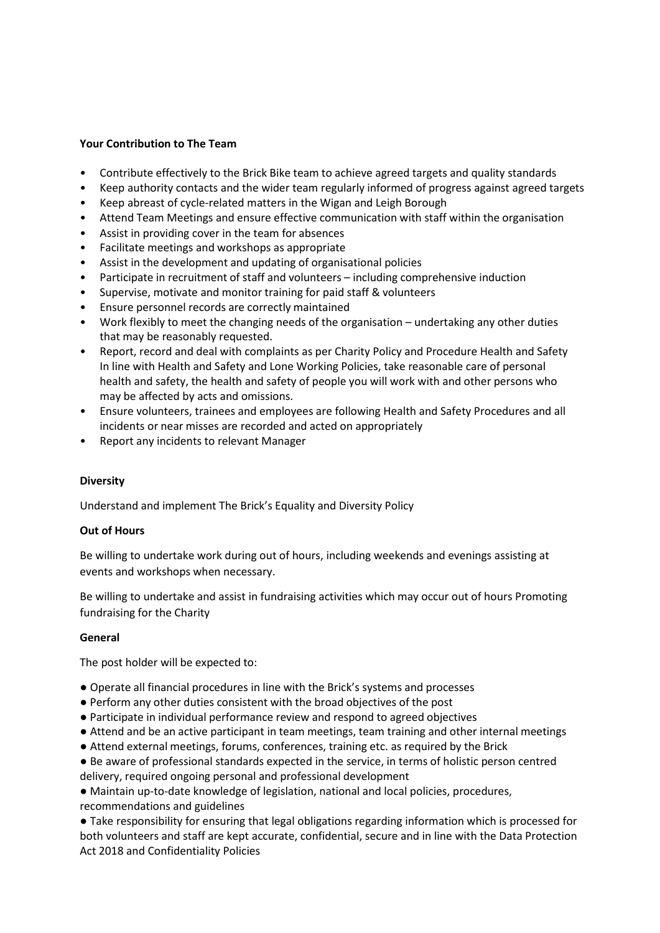### **Your Contribution to The Team**

- Contribute effectively to the Brick Bike team to achieve agreed targets and quality standards
- Keep authority contacts and the wider team regularly informed of progress against agreed targets
- Keep abreast of cycle-related matters in the Wigan and Leigh Borough
- Attend Team Meetings and ensure effective communication with staff within the organisation
- Assist in providing cover in the team for absences
- Facilitate meetings and workshops as appropriate
- Assist in the development and updating of organisational policies
- Participate in recruitment of staff and volunteers including comprehensive induction
- Supervise, motivate and monitor training for paid staff & volunteers
- Ensure personnel records are correctly maintained
- Work flexibly to meet the changing needs of the organisation undertaking any other duties that may be reasonably requested.
- Report, record and deal with complaints as per Charity Policy and Procedure Health and Safety In line with Health and Safety and Lone Working Policies, take reasonable care of personal health and safety, the health and safety of people you will work with and other persons who may be affected by acts and omissions.
- Ensure volunteers, trainees and employees are following Health and Safety Procedures and all incidents or near misses are recorded and acted on appropriately
- Report any incidents to relevant Manager

### **Diversity**

Understand and implement The Brick's Equality and Diversity Policy

### **Out of Hours**

Be willing to undertake work during out of hours, including weekends and evenings assisting at events and workshops when necessary.

Be willing to undertake and assist in fundraising activities which may occur out of hours Promoting fundraising for the Charity

### **General**

The post holder will be expected to:

- Operate all financial procedures in line with the Brick's systems and processes
- Perform any other duties consistent with the broad objectives of the post
- Participate in individual performance review and respond to agreed objectives
- Attend and be an active participant in team meetings, team training and other internal meetings
- Attend external meetings, forums, conferences, training etc. as required by the Brick
- Be aware of professional standards expected in the service, in terms of holistic person centred delivery, required ongoing personal and professional development

● Maintain up-to-date knowledge of legislation, national and local policies, procedures, recommendations and guidelines

● Take responsibility for ensuring that legal obligations regarding information which is processed for both volunteers and staff are kept accurate, confidential, secure and in line with the Data Protection Act 2018 and Confidentiality Policies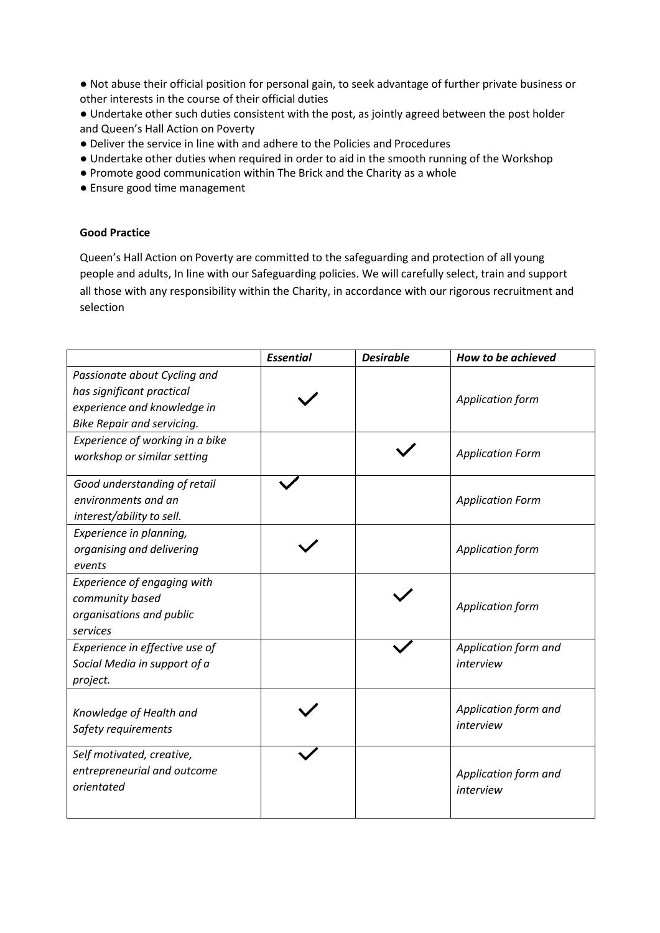● Not abuse their official position for personal gain, to seek advantage of further private business or other interests in the course of their official duties

● Undertake other such duties consistent with the post, as jointly agreed between the post holder and Queen's Hall Action on Poverty

- Deliver the service in line with and adhere to the Policies and Procedures
- Undertake other duties when required in order to aid in the smooth running of the Workshop
- Promote good communication within The Brick and the Charity as a whole
- Ensure good time management

### **Good Practice**

Queen's Hall Action on Poverty are committed to the safeguarding and protection of all young people and adults, In line with our Safeguarding policies. We will carefully select, train and support all those with any responsibility within the Charity, in accordance with our rigorous recruitment and selection

|                                                           | <b>Essential</b> | <b>Desirable</b>        | How to be achieved      |
|-----------------------------------------------------------|------------------|-------------------------|-------------------------|
| Passionate about Cycling and<br>has significant practical |                  |                         |                         |
| experience and knowledge in                               |                  |                         | Application form        |
| <b>Bike Repair and servicing.</b>                         |                  |                         |                         |
| Experience of working in a bike                           |                  |                         |                         |
| workshop or similar setting                               |                  |                         | <b>Application Form</b> |
| Good understanding of retail                              |                  |                         |                         |
| environments and an                                       |                  | <b>Application Form</b> |                         |
| interest/ability to sell.                                 |                  |                         |                         |
| Experience in planning,                                   |                  |                         |                         |
| organising and delivering                                 |                  |                         | Application form        |
| events                                                    |                  |                         |                         |
| Experience of engaging with                               |                  |                         |                         |
| community based                                           |                  | Application form        |                         |
| organisations and public                                  |                  |                         |                         |
| services                                                  |                  |                         |                         |
| Experience in effective use of                            |                  |                         | Application form and    |
| Social Media in support of a                              |                  |                         | interview               |
| project.                                                  |                  |                         |                         |
| Knowledge of Health and                                   |                  |                         | Application form and    |
| Safety requirements                                       |                  |                         | interview               |
|                                                           |                  |                         |                         |
| Self motivated, creative,                                 |                  |                         |                         |
| entrepreneurial and outcome                               |                  |                         | Application form and    |
| orientated                                                |                  |                         | interview               |
|                                                           |                  |                         |                         |